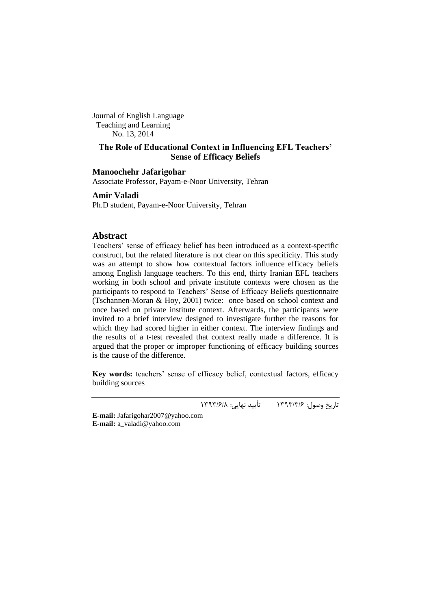Journal of English Language Teaching and Learning No. 13, 2014

# **The Role of Educational Context in Influencing EFL Teachers' Sense of Efficacy Beliefs**

## **Manoochehr Jafarigohar**

Associate Professor, Payam-e-Noor University, Tehran

# **Amir Valadi**

Ph.D student, Payam-e-Noor University, Tehran

# **Abstract**

Teachers' sense of efficacy belief has been introduced as a context-specific construct, but the related literature is not clear on this specificity. This study was an attempt to show how contextual factors influence efficacy beliefs among English language teachers. To this end, thirty Iranian EFL teachers working in both school and private institute contexts were chosen as the participants to respond to Teachers' Sense of Efficacy Beliefs questionnaire (Tschannen-Moran & Hoy, 2001) twice: once based on school context and once based on private institute context. Afterwards, the participants were invited to a brief interview designed to investigate further the reasons for which they had scored higher in either context. The interview findings and the results of a t-test revealed that context really made a difference. It is argued that the proper or improper functioning of efficacy building sources is the cause of the difference.

Key words: teachers' sense of efficacy belief, contextual factors, efficacy building sources

.<br>تاریخ وصول: ۶/۶/۱۳۹۳ - تأیید نهایی: ۱۳۹۳/۶/۸

**E-mail:** [Jafarigohar2007@yahoo.com](mailto:Jafarigohar2007@yahoo.com) **E-mail:** [a\\_valadi@yahoo.com](mailto:a_valadi@yahoo.com)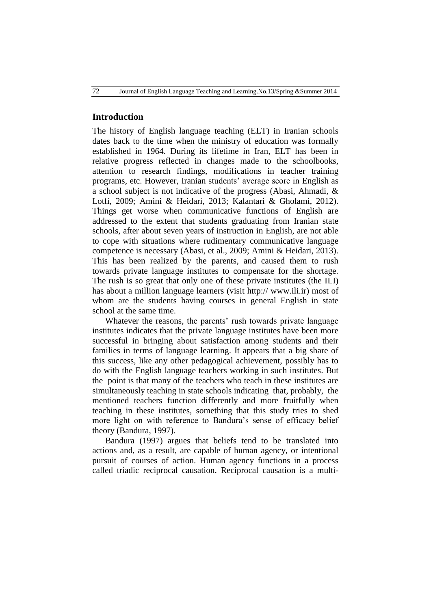# **Introduction**

The history of English language teaching (ELT) in Iranian schools dates back to the time when the ministry of education was formally established in 1964. During its lifetime in Iran, ELT has been in relative progress reflected in changes made to the schoolbooks, attention to research findings, modifications in teacher training programs, etc. However, Iranian students" average score in English as a school subject is not indicative of the progress (Abasi, Ahmadi, & Lotfi, 2009; Amini & Heidari, 2013; [Kalantari](http://www.medu.ir/) & Gholami, 2012). Things get worse when communicative functions of English are addressed to the extent that students graduating from Iranian state schools, after about seven years of instruction in English, are not able to cope with situations where rudimentary communicative language competence is necessary (Abasi, et al., 2009; Amini & Heidari, 2013). This has been realized by the parents, and caused them to rush towards private language institutes to compensate for the shortage. The rush is so great that only one of these private institutes (the ILI) has about a million language learners (visit http:// [www.ili.ir\)](http://www.ili.ir/) most of whom are the students having courses in general English in state school at the same time.

Whatever the reasons, the parents' rush towards private language institutes indicates that the private language institutes have been more successful in bringing about satisfaction among students and their families in terms of language learning. It appears that a big share of this success, like any other pedagogical achievement, possibly has to do with the English language teachers working in such institutes. But the point is that many of the teachers who teach in these institutes are simultaneously teaching in state schools indicating that, probably, the mentioned teachers function differently and more fruitfully when teaching in these institutes, something that this study tries to shed more light on with reference to Bandura"s sense of efficacy belief theory (Bandura, 1997).

Bandura (1997) argues that beliefs tend to be translated into actions and, as a result, are capable of human agency, or intentional pursuit of courses of action. Human agency functions in a process called triadic reciprocal causation. Reciprocal causation is a multi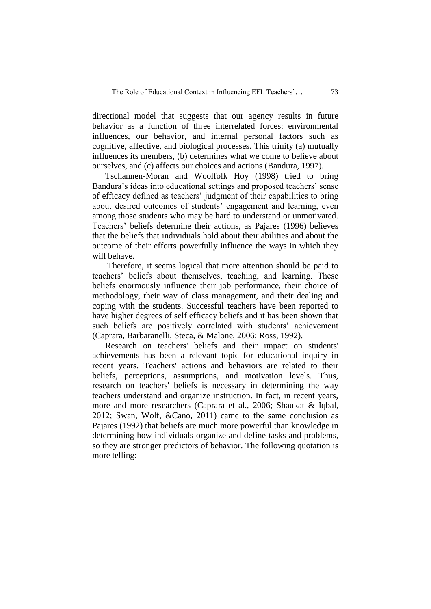directional model that suggests that our agency results in future behavior as a function of three interrelated forces: environmental influences, our behavior, and internal personal factors such as cognitive, affective, and biological processes. This trinity (a) mutually influences its members, (b) determines what we come to believe about ourselves, and (c) affects our choices and actions (Bandura, 1997).

Tschannen-Moran and Woolfolk Hoy (1998) tried to bring Bandura's ideas into educational settings and proposed teachers' sense of efficacy defined as teachers" judgment of their capabilities to bring about desired outcomes of students' engagement and learning, even among those students who may be hard to understand or unmotivated. Teachers" beliefs determine their actions, as Pajares (1996) believes that the beliefs that individuals hold about their abilities and about the outcome of their efforts powerfully influence the ways in which they will behave.

Therefore, it seems logical that more attention should be paid to teachers" beliefs about themselves, teaching, and learning. These beliefs enormously influence their job performance, their choice of methodology, their way of class management, and their dealing and coping with the students. Successful teachers have been reported to have higher degrees of self efficacy beliefs and it has been shown that such beliefs are positively correlated with students' achievement (Caprara, Barbaranelli, Steca, & Malone, 2006; Ross, 1992).

Research on teachers' beliefs and their impact on students' achievements has been a relevant topic for educational inquiry in recent years. Teachers' actions and behaviors are related to their beliefs, perceptions, assumptions, and motivation levels. Thus, research on teachers' beliefs is necessary in determining the way teachers understand and organize instruction. In fact, in recent years, more and more researchers (Caprara et al., 2006; Shaukat & Iqbal, 2012; Swan, Wolf, &Cano, 2011) came to the same conclusion as Pajares (1992) that beliefs are much more powerful than knowledge in determining how individuals organize and define tasks and problems, so they are stronger predictors of behavior. The following quotation is more telling: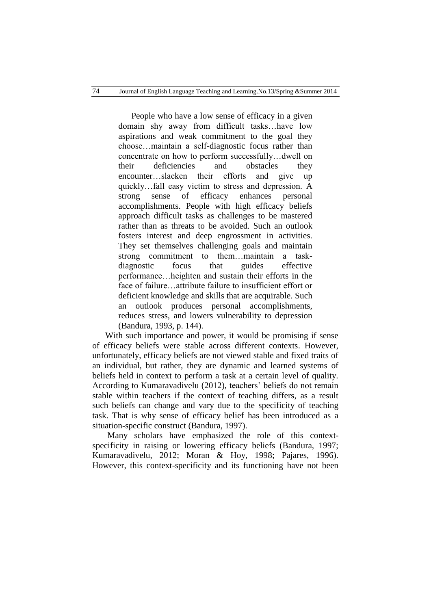People who have a low sense of efficacy in a given domain shy away from difficult tasks…have low aspirations and weak commitment to the goal they choose…maintain a self-diagnostic focus rather than concentrate on how to perform successfully…dwell on their deficiencies and obstacles they encounter…slacken their efforts and give up quickly…fall easy victim to stress and depression. A strong sense of efficacy enhances personal accomplishments. People with high efficacy beliefs approach difficult tasks as challenges to be mastered rather than as threats to be avoided. Such an outlook fosters interest and deep engrossment in activities. They set themselves challenging goals and maintain strong commitment to them…maintain a taskdiagnostic focus that guides effective performance…heighten and sustain their efforts in the face of failure…attribute failure to insufficient effort or deficient knowledge and skills that are acquirable. Such an outlook produces personal accomplishments, reduces stress, and lowers vulnerability to depression (Bandura, 1993, p. 144).

With such importance and power, it would be promising if sense of efficacy beliefs were stable across different contexts. However, unfortunately, efficacy beliefs are not viewed stable and fixed traits of an individual, but rather, they are dynamic and learned systems of beliefs held in context to perform a task at a certain level of quality. According to Kumaravadivelu (2012), teachers' beliefs do not remain stable within teachers if the context of teaching differs, as a result such beliefs can change and vary due to the specificity of teaching task. That is why sense of efficacy belief has been introduced as a situation-specific construct (Bandura, 1997).

Many scholars have emphasized the role of this contextspecificity in raising or lowering efficacy beliefs (Bandura, 1997; Kumaravadivelu, 2012; Moran & Hoy, 1998; Pajares, 1996). However, this context-specificity and its functioning have not been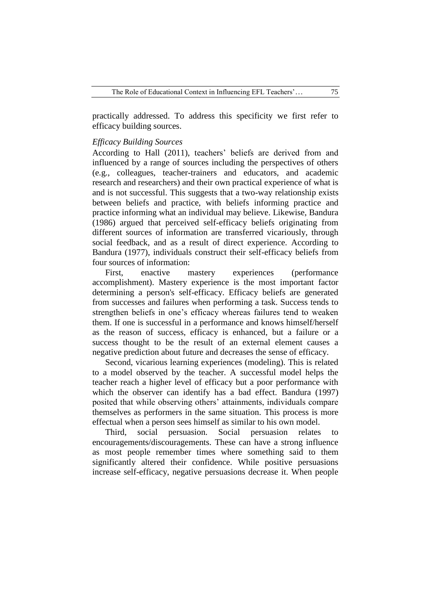practically addressed. To address this specificity we first refer to efficacy building sources.

## *Efficacy Building Sources*

According to Hall (2011), teachers' beliefs are derived from and influenced by a range of sources including the perspectives of others (e.g., colleagues, teacher-trainers and educators, and academic research and researchers) and their own practical experience of what is and is not successful. This suggests that a two-way relationship exists between beliefs and practice, with beliefs informing practice and practice informing what an individual may believe. Likewise, Bandura (1986) argued that perceived self-efficacy beliefs originating from different sources of information are transferred vicariously, through social feedback, and as a result of direct experience. According to Bandura (1977), individuals construct their self-efficacy beliefs from four sources of information:

First, enactive mastery experiences (performance accomplishment). Mastery experience is the most important factor determining a person's self-efficacy. Efficacy beliefs are generated from successes and failures when performing a task. Success tends to strengthen beliefs in one's efficacy whereas failures tend to weaken them. If one is successful in a performance and knows himself/herself as the reason of success, efficacy is enhanced, but a failure or a success thought to be the result of an external element causes a negative prediction about future and decreases the sense of efficacy.

Second, vicarious learning experiences (modeling). This is related to a model observed by the teacher. A successful model helps the teacher reach a higher level of efficacy but a poor performance with which the observer can identify has a bad effect. Bandura (1997) posited that while observing others" attainments, individuals compare themselves as performers in the same situation. This process is more effectual when a person sees himself as similar to his own model.

Third, social persuasion. Social persuasion relates encouragements/discouragements. These can have a strong influence as most people remember times where something said to them significantly altered their confidence. While positive persuasions increase self-efficacy, negative persuasions decrease it. When people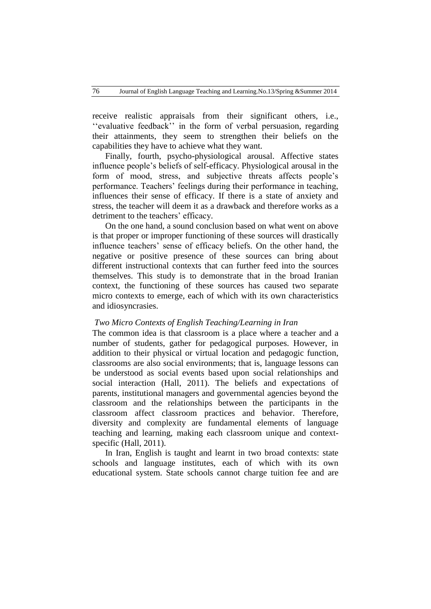receive realistic appraisals from their significant others, i.e., "evaluative feedback" in the form of verbal persuasion, regarding their attainments, they seem to strengthen their beliefs on the capabilities they have to achieve what they want.

Finally, fourth, psycho-physiological arousal. Affective states influence people"s beliefs of self-efficacy. Physiological arousal in the form of mood, stress, and subjective threats affects people's performance. Teachers' feelings during their performance in teaching, influences their sense of efficacy. If there is a state of anxiety and stress, the teacher will deem it as a drawback and therefore works as a detriment to the teachers' efficacy.

On the one hand, a sound conclusion based on what went on above is that proper or improper functioning of these sources will drastically influence teachers" sense of efficacy beliefs. On the other hand, the negative or positive presence of these sources can bring about different instructional contexts that can further feed into the sources themselves. This study is to demonstrate that in the broad Iranian context, the functioning of these sources has caused two separate micro contexts to emerge, each of which with its own characteristics and idiosyncrasies.

#### *Two Micro Contexts of English Teaching/Learning in Iran*

The common idea is that classroom is a place where a teacher and a number of students, gather for pedagogical purposes. However, in addition to their physical or virtual location and pedagogic function, classrooms are also social environments; that is, language lessons can be understood as social events based upon social relationships and social interaction (Hall, 2011). The beliefs and expectations of parents, institutional managers and governmental agencies beyond the classroom and the relationships between the participants in the classroom affect classroom practices and behavior. Therefore, diversity and complexity are fundamental elements of language teaching and learning, making each classroom unique and contextspecific (Hall, 2011).

In Iran, English is taught and learnt in two broad contexts: state schools and language institutes, each of which with its own educational system. State schools cannot charge tuition fee and are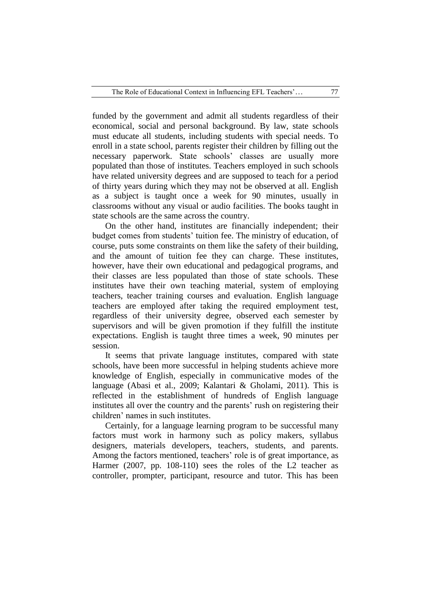funded by the government and admit all students regardless of their economical, social and personal background. By law, state schools must educate all students, including students with special needs. To enroll in a state school, parents register their children by filling out the necessary paperwork. State schools" classes are usually more populated than those of institutes. Teachers employed in such schools have related university degrees and are supposed to teach for a period of thirty years during which they may not be observed at all. English as a subject is taught once a week for 90 minutes, usually in classrooms without any visual or audio facilities. The books taught in state schools are the same across the country.

On the other hand, institutes are financially independent; their budget comes from students' tuition fee. The ministry of education, of course, puts some constraints on them like the safety of their building, and the amount of tuition fee they can charge. These institutes, however, have their own educational and pedagogical programs, and their classes are less populated than those of state schools. These institutes have their own teaching material, system of employing teachers, teacher training courses and evaluation. English language teachers are employed after taking the required employment test, regardless of their university degree, observed each semester by supervisors and will be given promotion if they fulfill the institute expectations. English is taught three times a week, 90 minutes per session.

It seems that private language institutes, compared with state schools, have been more successful in helping students achieve more knowledge of English, especially in communicative modes of the language (Abasi et al., 2009; Kalantari & Gholami, 2011). This is reflected in the establishment of hundreds of English language institutes all over the country and the parents' rush on registering their children" names in such institutes.

Certainly, for a language learning program to be successful many factors must work in harmony such as policy makers, syllabus designers, materials developers, teachers, students, and parents. Among the factors mentioned, teachers' role is of great importance, as Harmer (2007, pp. 108-110) sees the roles of the L2 teacher as controller, prompter, participant, resource and tutor. This has been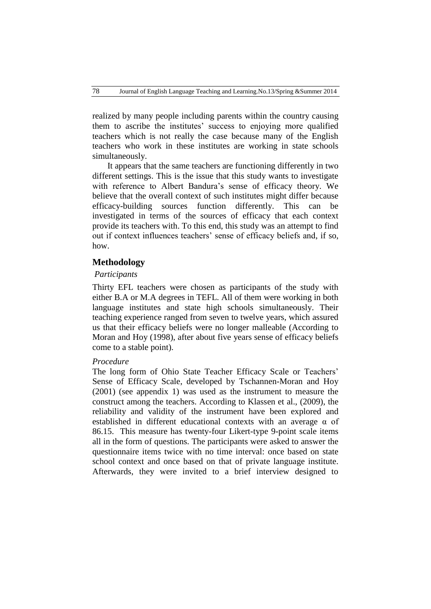realized by many people including parents within the country causing them to ascribe the institutes' success to enjoying more qualified teachers which is not really the case because many of the English teachers who work in these institutes are working in state schools simultaneously.

It appears that the same teachers are functioning differently in two different settings. This is the issue that this study wants to investigate with reference to Albert Bandura's sense of efficacy theory. We believe that the overall context of such institutes might differ because efficacy-building sources function differently. This can be investigated in terms of the sources of efficacy that each context provide its teachers with. To this end, this study was an attempt to find out if context influences teachers' sense of efficacy beliefs and, if so, how.

# **Methodology**

## *Participants*

Thirty EFL teachers were chosen as participants of the study with either B.A or M.A degrees in TEFL. All of them were working in both language institutes and state high schools simultaneously. Their teaching experience ranged from seven to twelve years, which assured us that their efficacy beliefs were no longer malleable (According to Moran and Hoy (1998), after about five years sense of efficacy beliefs come to a stable point).

## *Procedure*

The long form of Ohio State Teacher Efficacy Scale or Teachers' Sense of Efficacy Scale, developed by Tschannen-Moran and Hoy (2001) (see appendix 1) was used as the instrument to measure the construct among the teachers. According to Klassen et al., (2009), the reliability and validity of the instrument have been explored and established in different educational contexts with an average α of 86.15. This measure has twenty-four Likert-type 9-point scale items all in the form of questions. The participants were asked to answer the questionnaire items twice with no time interval: once based on state school context and once based on that of private language institute. Afterwards, they were invited to a brief interview designed to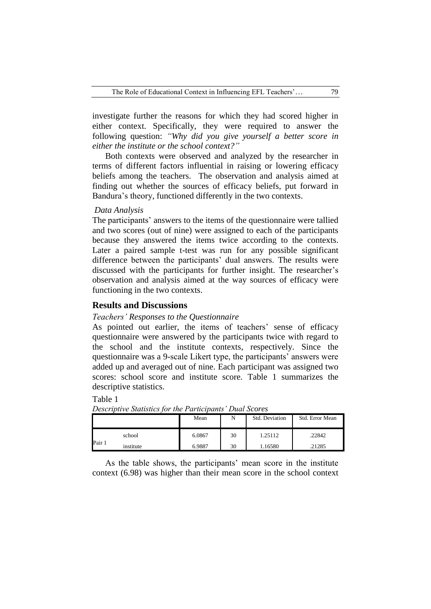investigate further the reasons for which they had scored higher in either context. Specifically, they were required to answer the following question: *"Why did you give yourself a better score in either the institute or the school context?"*

Both contexts were observed and analyzed by the researcher in terms of different factors influential in raising or lowering efficacy beliefs among the teachers. The observation and analysis aimed at finding out whether the sources of efficacy beliefs, put forward in Bandura"s theory, functioned differently in the two contexts.

#### *Data Analysis*

The participants" answers to the items of the questionnaire were tallied and two scores (out of nine) were assigned to each of the participants because they answered the items twice according to the contexts. Later a paired sample t-test was run for any possible significant difference between the participants' dual answers. The results were discussed with the participants for further insight. The researcher's observation and analysis aimed at the way sources of efficacy were functioning in the two contexts.

# **Results and Discussions**

## *Teachers' Responses to the Questionnaire*

As pointed out earlier, the items of teachers' sense of efficacy questionnaire were answered by the participants twice with regard to the school and the institute contexts, respectively. Since the questionnaire was a 9-scale Likert type, the participants" answers were added up and averaged out of nine. Each participant was assigned two scores: school score and institute score. Table 1 summarizes the descriptive statistics.

Table 1

|        |           | Mean   | N  | Std. Deviation | Std. Error Mean |
|--------|-----------|--------|----|----------------|-----------------|
| Pair 1 | school    | 6.0867 | 30 | 1.25112        | .22842          |
|        | institute | 6.9887 | 30 | .16580         | .21285          |

*Descriptive Statistics for the Participants' Dual Scores*

As the table shows, the participants' mean score in the institute context (6.98) was higher than their mean score in the school context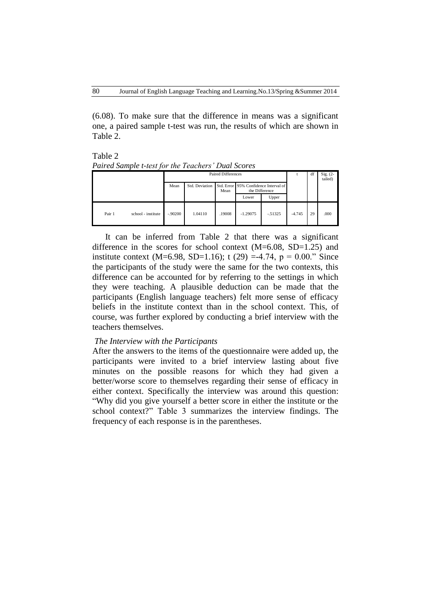(6.08). To make sure that the difference in means was a significant one, a paired sample t-test was run, the results of which are shown in Table 2.

Table 2 *Paired Sample t-test for the Teachers' Dual Scores*

|        |                    | <b>Paired Differences</b> |                |        |                                                         |           |          | df | $Sig. (2-$<br>tailed) |
|--------|--------------------|---------------------------|----------------|--------|---------------------------------------------------------|-----------|----------|----|-----------------------|
|        |                    | Mean                      | Std. Deviation | Mean   | Std. Error 95% Confidence Interval of<br>the Difference |           |          |    |                       |
|        |                    |                           |                |        | Lower                                                   | Upper     |          |    |                       |
| Pair 1 | school - institute | $-.90200$                 | 1.04110        | .19008 | $-1.29075$                                              | $-.51325$ | $-4.745$ | 29 | .000                  |

It can be inferred from Table 2 that there was a significant difference in the scores for school context (M=6.08, SD=1.25) and institute context (M=6.98, SD=1.16); t (29) =-4.74,  $p = 0.00$ ." Since the participants of the study were the same for the two contexts, this difference can be accounted for by referring to the settings in which they were teaching. A plausible deduction can be made that the participants (English language teachers) felt more sense of efficacy beliefs in the institute context than in the school context. This, of course, was further explored by conducting a brief interview with the teachers themselves.

## *The Interview with the Participants*

After the answers to the items of the questionnaire were added up, the participants were invited to a brief interview lasting about five minutes on the possible reasons for which they had given a better/worse score to themselves regarding their sense of efficacy in either context. Specifically the interview was around this question: "Why did you give yourself a better score in either the institute or the school context?" Table 3 summarizes the interview findings. The frequency of each response is in the parentheses.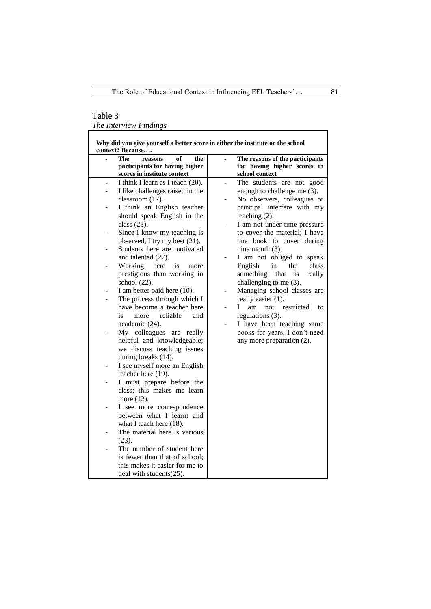# Table 3

*The Interview Findings*

| Why did you give yourself a better score in either the institute or the school<br>context? Because |                                                                                                                          |                                                                                                           |  |  |  |  |  |  |  |
|----------------------------------------------------------------------------------------------------|--------------------------------------------------------------------------------------------------------------------------|-----------------------------------------------------------------------------------------------------------|--|--|--|--|--|--|--|
|                                                                                                    | <b>The</b><br>of<br>the<br>reasons<br>participants for having higher<br>scores in institute context                      | The reasons of the participants<br>$\overline{a}$<br>for having higher scores in<br>school context        |  |  |  |  |  |  |  |
| $\overline{a}$                                                                                     | I think I learn as I teach (20).                                                                                         | The students are not good<br>$\overline{a}$                                                               |  |  |  |  |  |  |  |
|                                                                                                    | I like challenges raised in the<br>classroom (17).                                                                       | enough to challenge me (3).<br>No observers, colleagues or                                                |  |  |  |  |  |  |  |
|                                                                                                    | I think an English teacher<br>should speak English in the<br>class $(23)$ .                                              | principal interfere with my<br>teaching $(2)$ .<br>I am not under time pressure                           |  |  |  |  |  |  |  |
|                                                                                                    | Since I know my teaching is<br>observed, I try my best (21).                                                             | to cover the material; I have<br>one book to cover during                                                 |  |  |  |  |  |  |  |
|                                                                                                    | Students here are motivated<br>and talented (27).                                                                        | nine month $(3)$ .<br>I am not obliged to speak                                                           |  |  |  |  |  |  |  |
|                                                                                                    | Working<br>here<br>is<br>more<br>prestigious than working in<br>school (22).                                             | English<br>in<br>the<br>class<br>something<br>that<br>really<br><i>is</i><br>challenging to me $(3)$ .    |  |  |  |  |  |  |  |
|                                                                                                    | I am better paid here (10).                                                                                              | Managing school classes are                                                                               |  |  |  |  |  |  |  |
|                                                                                                    | The process through which I<br>have become a teacher here<br>reliable<br>is<br>more<br>and<br>academic (24).             | really easier (1).<br>restricted<br>L<br>am<br>not<br>to<br>regulations (3).<br>I have been teaching same |  |  |  |  |  |  |  |
|                                                                                                    | My colleagues are<br>really<br>helpful and knowledgeable;<br>we discuss teaching issues<br>during breaks (14).           | books for years, I don't need<br>any more preparation (2).                                                |  |  |  |  |  |  |  |
|                                                                                                    | I see myself more an English<br>teacher here (19).                                                                       |                                                                                                           |  |  |  |  |  |  |  |
|                                                                                                    | I must prepare before the<br>class; this makes me learn<br>more (12).                                                    |                                                                                                           |  |  |  |  |  |  |  |
|                                                                                                    | I see more correspondence<br>between what I learnt and<br>what I teach here (18).                                        |                                                                                                           |  |  |  |  |  |  |  |
|                                                                                                    | The material here is various<br>(23).                                                                                    |                                                                                                           |  |  |  |  |  |  |  |
|                                                                                                    | The number of student here<br>is fewer than that of school;<br>this makes it easier for me to<br>deal with students(25). |                                                                                                           |  |  |  |  |  |  |  |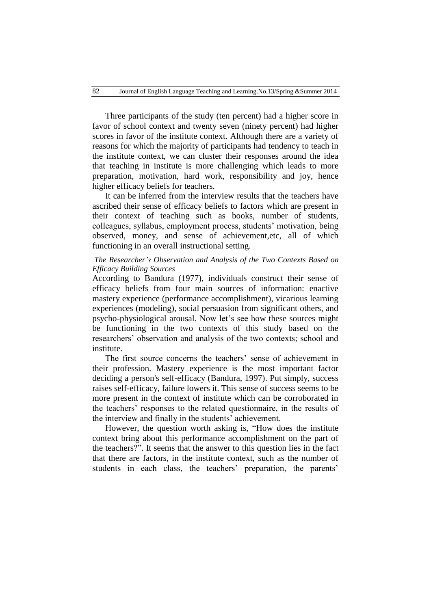Three participants of the study (ten percent) had a higher score in favor of school context and twenty seven (ninety percent) had higher scores in favor of the institute context. Although there are a variety of reasons for which the majority of participants had tendency to teach in the institute context, we can cluster their responses around the idea that teaching in institute is more challenging which leads to more preparation, motivation, hard work, responsibility and joy, hence higher efficacy beliefs for teachers.

It can be inferred from the interview results that the teachers have ascribed their sense of efficacy beliefs to factors which are present in their context of teaching such as books, number of students, colleagues, syllabus, employment process, students" motivation, being observed, money, and sense of achievement,etc, all of which functioning in an overall instructional setting.

# *The Researcher's Observation and Analysis of the Two Contexts Based on Efficacy Building Sources*

According to Bandura (1977), individuals construct their sense of efficacy beliefs from four main sources of information: enactive mastery experience (performance accomplishment), vicarious learning experiences (modeling), social persuasion from significant others, and psycho-physiological arousal. Now let's see how these sources might be functioning in the two contexts of this study based on the researchers" observation and analysis of the two contexts; school and institute.

The first source concerns the teachers' sense of achievement in their profession. Mastery experience is the most important factor deciding a person's self-efficacy (Bandura, 1997). Put simply, success raises self-efficacy, failure lowers it. This sense of success seems to be more present in the context of institute which can be corroborated in the teachers" responses to the related questionnaire, in the results of the interview and finally in the students' achievement.

However, the question worth asking is, "How does the institute context bring about this performance accomplishment on the part of the teachers?". It seems that the answer to this question lies in the fact that there are factors, in the institute context, such as the number of students in each class, the teachers' preparation, the parents'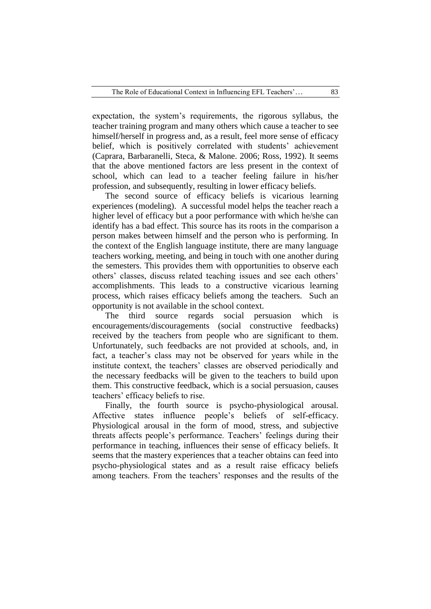expectation, the system"s requirements, the rigorous syllabus, the teacher training program and many others which cause a teacher to see himself/herself in progress and, as a result, feel more sense of efficacy belief, which is positively correlated with students' achievement (Caprara, Barbaranelli, Steca, & Malone. 2006; Ross, 1992). It seems that the above mentioned factors are less present in the context of school, which can lead to a teacher feeling failure in his/her profession, and subsequently, resulting in lower efficacy beliefs.

The second source of efficacy beliefs is vicarious learning experiences (modeling). A successful model helps the teacher reach a higher level of efficacy but a poor performance with which he/she can identify has a bad effect. This source has its roots in the comparison a person makes between himself and the person who is performing. In the context of the English language institute, there are many language teachers working, meeting, and being in touch with one another during the semesters. This provides them with opportunities to observe each others" classes, discuss related teaching issues and see each others" accomplishments. This leads to a constructive vicarious learning process, which raises efficacy beliefs among the teachers. Such an opportunity is not available in the school context.

The third source regards social persuasion which is encouragements/discouragements (social constructive feedbacks) received by the teachers from people who are significant to them. Unfortunately, such feedbacks are not provided at schools, and, in fact, a teacher's class may not be observed for years while in the institute context, the teachers' classes are observed periodically and the necessary feedbacks will be given to the teachers to build upon them. This constructive feedback, which is a social persuasion, causes teachers" efficacy beliefs to rise.

Finally, the fourth source is psycho-physiological arousal. Affective states influence people's beliefs of self-efficacy. Physiological arousal in the form of mood, stress, and subjective threats affects people's performance. Teachers' feelings during their performance in teaching, influences their sense of efficacy beliefs. It seems that the mastery experiences that a teacher obtains can feed into psycho-physiological states and as a result raise efficacy beliefs among teachers. From the teachers' responses and the results of the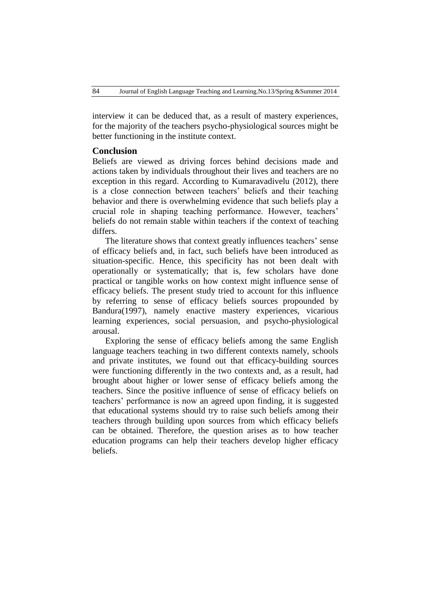interview it can be deduced that, as a result of mastery experiences, for the majority of the teachers psycho-physiological sources might be better functioning in the institute context.

# **Conclusion**

Beliefs are viewed as driving forces behind decisions made and actions taken by individuals throughout their lives and teachers are no exception in this regard. According to Kumaravadivelu (2012), there is a close connection between teachers" beliefs and their teaching behavior and there is overwhelming evidence that such beliefs play a crucial role in shaping teaching performance. However, teachers" beliefs do not remain stable within teachers if the context of teaching differs.

The literature shows that context greatly influences teachers' sense of efficacy beliefs and, in fact, such beliefs have been introduced as situation-specific. Hence, this specificity has not been dealt with operationally or systematically; that is, few scholars have done practical or tangible works on how context might influence sense of efficacy beliefs. The present study tried to account for this influence by referring to sense of efficacy beliefs sources propounded by Bandura(1997), namely enactive mastery experiences, vicarious learning experiences, social persuasion, and psycho-physiological arousal.

Exploring the sense of efficacy beliefs among the same English language teachers teaching in two different contexts namely, schools and private institutes, we found out that efficacy-building sources were functioning differently in the two contexts and, as a result, had brought about higher or lower sense of efficacy beliefs among the teachers. Since the positive influence of sense of efficacy beliefs on teachers" performance is now an agreed upon finding, it is suggested that educational systems should try to raise such beliefs among their teachers through building upon sources from which efficacy beliefs can be obtained. Therefore, the question arises as to how teacher education programs can help their teachers develop higher efficacy beliefs.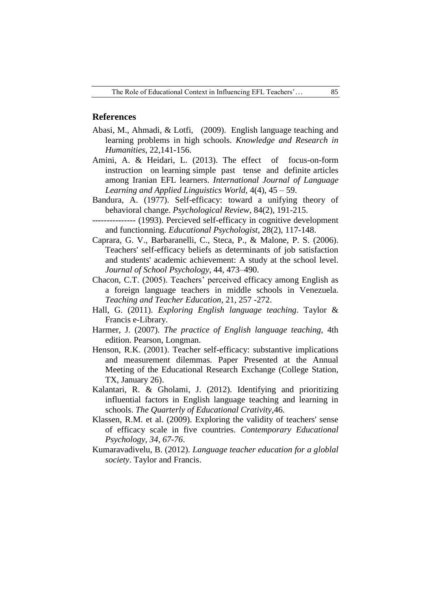## **References**

- Abasi, M., Ahmadi, & Lotfi, (2009). English language teaching and learning problems in high schools. *Knowledge and Research in Humanities*, 22,141-156.
- Amini, A. & Heidari, L. (2013). The effect of focus-on-form instruction on learning simple past tense and definite articles among Iranian EFL learners. *International Journal of Language Learning and Applied Linguistics World,* 4(4), 45 – 59.
- Bandura, A. (1977). Self-efficacy: toward a unifying theory of behavioral change. *Psychological Review*, 84(2), 191-215.
- --------------- (1993). Percieved self-efficacy in cognitive development and functionning. *Educational Psychologist*, 28(2), 117-148.
- Caprara, G. V., Barbaranelli, C., Steca, P., & Malone, P. S. (2006). Teachers' self-efficacy beliefs as determinants of job satisfaction and students' academic achievement: A study at the school level. *Journal of School Psychology*, 44, 473–490.
- Chacon, C.T. (2005). Teachers' perceived efficacy among English as a foreign language teachers in middle schools in Venezuela. *Teaching and Teacher Education*, 21, 257 -272.
- Hall, G. (2011). *Exploring English language teaching*. Taylor & Francis e-Library.
- Harmer, J. (2007). *The practice of English language teaching*, 4th edition. Pearson, Longman.
- Henson, R.K. (2001). Teacher self-efficacy: substantive implications and measurement dilemmas. Paper Presented at the Annual Meeting of the Educational Research Exchange (College Station, TX, January 26).
- Kalantari, R. & Gholami, J. (2012). Identifying and prioritizing influential factors in English language teaching and learning in schools. *The Quarterly of Educational Crativity*,46.
- Klassen, R.M. et al. (2009). Exploring the validity of teachers' sense of efficacy scale in five countries. *Contemporary Educational Psychology, 34, 67-76*.
- Kumaravadivelu, B. (2012). *Language teacher education for a globlal society*. Taylor and Francis.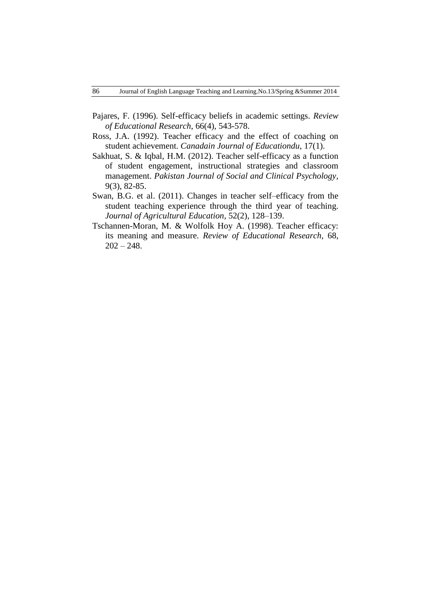- Pajares, F. (1996). Self-efficacy beliefs in academic settings. *Review of Educational Research*, 66(4), 543-578.
- Ross, J.A. (1992). Teacher efficacy and the effect of coaching on student achievement. *Canadain Journal of Educationdu*, 17(1).
- Sakhuat, S. & Iqbal, H.M. (2012). Teacher self-efficacy as a function of student engagement, instructional strategies and classroom management. *Pakistan Journal of Social and Clinical Psychology*, 9(3), 82-85.
- Swan, B.G. et al. (2011). Changes in teacher self–efficacy from the student teaching experience through the third year of teaching. *Journal of Agricultural Education*, 52(2), 128–139.
- Tschannen-Moran, M. & Wolfolk Hoy A. (1998). Teacher efficacy: its meaning and measure. *Review of Educational Research*, 68,  $202 - 248.$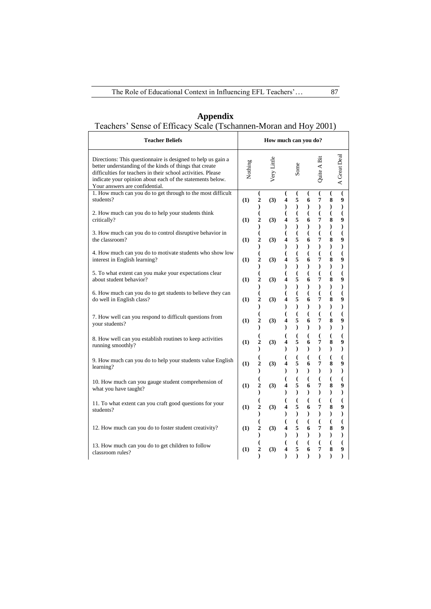$\mathbf{r}$ 

| Appendix                                                         |  |  |  |  |  |  |
|------------------------------------------------------------------|--|--|--|--|--|--|
| Teachers' Sense of Efficacy Scale (Tschannen-Moran and Hoy 2001) |  |  |  |  |  |  |

| <b>Teacher Beliefs</b>                                                                                                                                                                                                                                                                 |         |                                                             | How much can you do? |                                                            |                                                |                                        |                                                |                                                |                                      |  |  |
|----------------------------------------------------------------------------------------------------------------------------------------------------------------------------------------------------------------------------------------------------------------------------------------|---------|-------------------------------------------------------------|----------------------|------------------------------------------------------------|------------------------------------------------|----------------------------------------|------------------------------------------------|------------------------------------------------|--------------------------------------|--|--|
| Directions: This question aire is designed to help us gain a<br>better understanding of the kinds of things that create<br>difficulties for teachers in their school activities. Please<br>indicate your opinion about each of the statements below.<br>Your answers are confidential. | Nothing |                                                             | Very Little          |                                                            | Some                                           |                                        | Quite A Bit                                    |                                                | A Great Deal                         |  |  |
| 1. How much can you do to get through to the most difficult<br>students?                                                                                                                                                                                                               | (1)     | €<br>$\overline{2}$<br>$\mathcal{E}$                        | (3)                  | €<br>4<br>Ι                                                | €<br>5<br>$\mathcal{E}$                        | €<br>6<br>$\mathcal{E}$                | €<br>7<br>$\mathcal{E}$                        | €<br>8<br>$\mathcal{E}$                        | €<br>9<br>$\mathcal{E}$              |  |  |
| 2. How much can you do to help your students think<br>critically?                                                                                                                                                                                                                      | (1)     | $\overline{(}$<br>$\overline{c}$<br>$\mathcal{E}$           | (3)                  | $\overline{(}$<br>4<br>$\mathcal{E}$                       | $\overline{(}$<br>5<br>$\mathcal{E}$           | $\overline{(\ }$<br>6<br>$\mathcal{E}$ | $\overline{(\ }$<br>7<br>$\mathcal{E}$         | $\overline{(}$<br>8<br>$\mathcal{E}$           | €<br>9<br>$\mathcal{E}$              |  |  |
| 3. How much can you do to control disruptive behavior in<br>the classroom?                                                                                                                                                                                                             | (1)     | (<br>$\overline{c}$<br>$\mathcal Y$                         | (3)                  | 4<br>$\lambda$                                             | $\overline{\mathcal{L}}$<br>5<br>$\mathcal{E}$ | $\overline{(}$<br>6<br>$\mathcal{E}$   | $\overline{(}$<br>7<br>$\mathcal{E}$           | $\overline{\mathcal{L}}$<br>8<br>$\mathcal{E}$ | $\overline{(}$<br>9<br>$\mathcal{E}$ |  |  |
| 4. How much can you do to motivate students who show low<br>interest in English learning?                                                                                                                                                                                              | (1)     | $\overline{\mathcal{L}}$<br>$\overline{2}$<br>$\mathcal{E}$ | (3)                  | (<br>4<br>$\mathcal{E}$                                    | $\overline{(}$<br>5<br>$\mathcal{L}$           | $\overline{(}$<br>6<br>$\mathcal{E}$   | $\overline{\mathcal{L}}$<br>7<br>$\mathcal{E}$ | $\overline{(}$<br>8<br>$\lambda$               | $\overline{(}$<br>9<br>$\mathcal{E}$ |  |  |
| 5. To what extent can you make your expectations clear<br>about student behavior?                                                                                                                                                                                                      | (1)     | $\overline{\mathcal{L}}$<br>$\overline{2}$                  | (3)                  | (<br>$\overline{\mathbf{4}}$<br>$\lambda$                  | $\overline{(}$<br>5<br>$\mathcal{E}$           | $\overline{(\ }$<br>6<br>$\mathcal{E}$ | $\overline{(}$<br>7<br>$\mathcal{E}$           | $\overline{\mathcal{L}}$<br>8<br>$\lambda$     | $\overline{(}$<br>9<br>$\mathcal{E}$ |  |  |
| 6. How much can you do to get students to believe they can<br>do well in English class?                                                                                                                                                                                                | (1)     | $\mathcal{E}$<br>(<br>$\overline{c}$<br>$\mathcal{E}$       | (3)                  | €<br>4<br>℩                                                | $\overline{\mathcal{L}}$<br>5<br>$\lambda$     | $\overline{(}$<br>6<br>$\lambda$       | (<br>7<br>$\lambda$                            | $\overline{(\ }$<br>8<br>$\lambda$             | $\overline{(}$<br>9<br>$\mathcal{E}$ |  |  |
| 7. How well can you respond to difficult questions from<br>your students?                                                                                                                                                                                                              | (1)     | $\overline{(}$<br>$\overline{2}$<br>$\mathcal{E}$           | (3)                  | $\overline{(}$<br>4<br>⟩                                   | $\overline{(}$<br>5<br>$\mathcal{E}$           | $\overline{(\ }$<br>6<br>$\mathcal{E}$ | $\overline{(}$<br>7<br>$\mathcal{E}$           | $\overline{(}$<br>8<br>$\mathcal{E}$           | $\overline{(}$<br>9<br>$\mathcal{E}$ |  |  |
| 8. How well can you establish routines to keep activities<br>running smoothly?                                                                                                                                                                                                         | (1)     | (<br>$\overline{c}$<br>$\mathcal{E}$                        | (3)                  | (<br>4<br>$\mathcal{E}$                                    | $\overline{(\ }$<br>5<br>$\mathcal{L}$         | $\overline{(}$<br>6<br>$\mathcal{E}$   | $\overline{(}$<br>7<br>$\mathcal{E}$           | $\overline{(}$<br>8<br>$\mathcal{E}$           | $\overline{(}$<br>9<br>$\mathcal{E}$ |  |  |
| 9. How much can you do to help your students value English<br>learning?                                                                                                                                                                                                                | (1)     | $\overline{(}$<br>$\overline{2}$<br>$\mathcal{E}$           | (3)                  | $\overline{(}$<br>$\overline{\mathbf{4}}$<br>$\mathcal{E}$ | $\overline{(}$<br>5<br>$\mathcal{E}$           | $\overline{(}$<br>6<br>$\mathcal{E}$   | $\overline{(\ }$<br>7<br>$\mathcal{E}$         | $\overline{(\ }$<br>8<br>$\mathcal{E}$         | $\overline{(}$<br>9<br>$\mathcal{E}$ |  |  |
| 10. How much can you gauge student comprehension of<br>what you have taught?                                                                                                                                                                                                           | (1)     | (<br>$\overline{c}$<br>$\mathcal{E}$                        | (3)                  | (<br>4<br>⟩                                                | $\overline{(\ }$<br>5<br>$\mathcal{E}$         | $\overline{(}$<br>6<br>$\mathcal{E}$   | $\overline{(}$<br>7<br>$\mathcal{E}$           | $\overline{(}$<br>8<br>$\mathcal{E}$           | $\overline{(}$<br>9<br>$\mathcal{E}$ |  |  |
| 11. To what extent can you craft good questions for your<br>students?                                                                                                                                                                                                                  | (1)     | $\overline{\mathcal{L}}$<br>$\overline{2}$<br>$\mathcal{E}$ | (3)                  | (<br>4<br>$\lambda$                                        | $\overline{(}$<br>5<br>$\mathcal{E}$           | $\overline{(}$<br>6<br>$\mathcal{E}$   | $\overline{(}$<br>7<br>$\mathcal{E}$           | $\overline{(}$<br>8<br>$\mathcal{E}$           | $\overline{(}$<br>9<br>$\mathcal{E}$ |  |  |
| 12. How much can you do to foster student creativity?                                                                                                                                                                                                                                  | (1)     | (<br>$\overline{c}$<br>$\mathcal{E}$                        | (3)                  | (<br>4<br>⟩                                                | $\overline{(}$<br>5<br>$\lambda$               | $\overline{(}$<br>6<br>$\lambda$       | (<br>7                                         | $\overline{(\cdot)}$<br>8<br>$\lambda$         | €<br>9<br>$\mathcal{E}$              |  |  |
| 13. How much can you do to get children to follow<br>classroom rules?                                                                                                                                                                                                                  | (1)     | $\overline{c}$                                              | (3)                  | 4                                                          | $\overline{(\ }$<br>5<br>$\lambda$             | $\overline{(}$<br>6<br>$\lambda$       | $\big($<br>7                                   | $\overline{(\ }$<br>8<br>$\lambda$             | €<br>9<br>$\mathcal{E}$              |  |  |

 $\overline{\phantom{a}}$